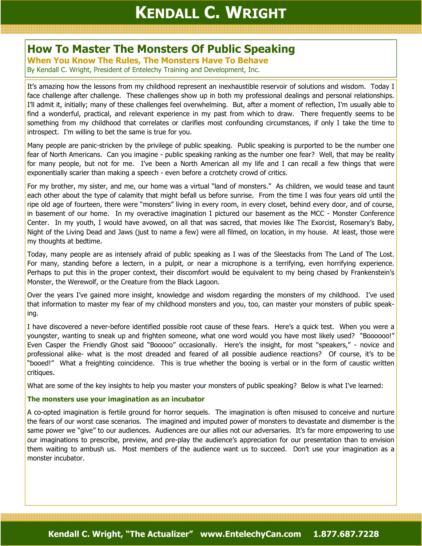# How To Master The Monsters Of Public Speaking

When You Know The Rules, The Monsters Have To Behave

By Kendall C. Wright, President of Entelechy Training and Development, Inc.

It's amazing how the lessons from my childhood represent an inexhaustible reservoir of solutions and wisdom. Today I face challenge after challenge. These challenges show up in both my professional dealings and personal relationships. I'll admit it, initially; many of these challenges feel overwhelming. But, after a moment of reflection, I'm usually able to find a wonderful, practical, and relevant experience in my past from which to draw. There frequently seems to be something from my childhood that correlates or clarifies most confounding circumstances, if only I take the time to introspect. I'm willing to bet the same is true for you.

Many people are panic-stricken by the privilege of public speaking. Public speaking is purported to be the number one fear of North Americans. Can you imagine - public speaking ranking as the number one fear? Well, that may be reality for many people, but not for me. I've been a North American all my life and I can recall a few things that were exponentially scarier than making a speech - even before a crotchety crowd of critics.

For my brother, my sister, and me, our home was a virtual "land of monsters." As children, we would tease and taunt each other about the type of calamity that might befall us before sunrise. From the time I was four years old until the ripe old age of fourteen, there were "monsters" living in every room, in every closet, behind every door, and of course, in basement of our home. In my overactive imagination I pictured our basement as the MCC - Monster Conference Center. In my youth, I would have avowed, on all that was sacred, that movies like The Exorcist, Rosemary's Baby, Night of the Living Dead and Jaws (just to name a few) were all filmed, on location, in my house. At least, those were my thoughts at bedtime.

Today, many people are as intensely afraid of public speaking as I was of the Sleestacks from The Land of The Lost. For many, standing before a lectern, in a pulpit, or near a microphone is a terrifying, even horrifying experience. Perhaps to put this in the proper context, their discomfort would be equivalent to my being chased by Frankenstein's Monster, the Werewolf, or the Creature from the Black Lagoon.

Over the years I've gained more insight, knowledge and wisdom regarding the monsters of my childhood. I've used that information to master my fear of my childhood monsters and you, too, can master your monsters of public speaking.

I have discovered a never-before identified possible root cause of these fears. Here's a quick test. When you were a youngster, wanting to sneak up and frighten someone, what one word would you have most likely used? "Boooooo!" Even Casper the Friendly Ghost said "Booooo" occasionally. Here's the insight, for most "speakers," - novice and professional alike- what is the most dreaded and feared of all possible audience reactions? Of course, it's to be "booed!" What a freighting coincidence. This is true whether the booing is verbal or in the form of caustic written critiques.

What are some of the key insights to help you master your monsters of public speaking? Below is what I've learned:

# The monsters use your imagination as an incubator

A co-opted imagination is fertile ground for horror sequels. The imagination is often misused to conceive and nurture the fears of our worst case scenarios. The imagined and imputed power of monsters to devastate and dismember is the same power we "give" to our audiences. Audiences are our allies not our adversaries. It's far more empowering to use our imaginations to prescribe, preview, and pre-play the audience's appreciation for our presentation than to envision them waiting to ambush us. Most members of the audience want us to succeed. Don't use your imagination as a monster incubator.